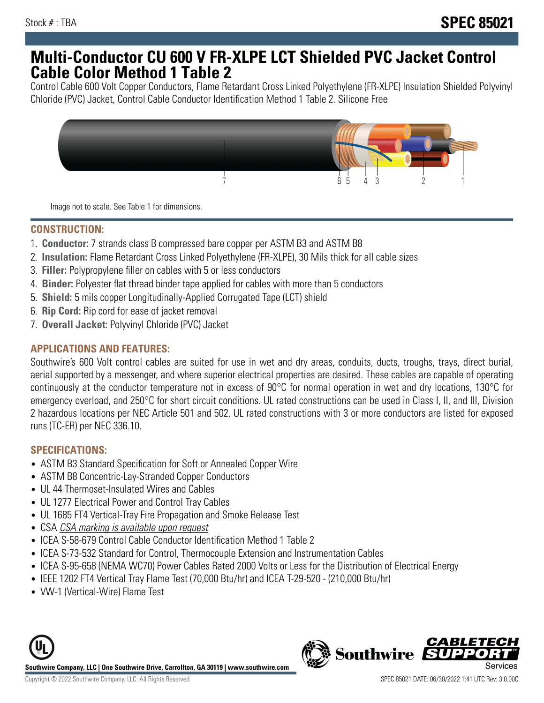# **Multi-Conductor CU 600 V FR-XLPE LCT Shielded PVC Jacket Control Cable Color Method 1 Table 2**

Control Cable 600 Volt Copper Conductors, Flame Retardant Cross Linked Polyethylene (FR-XLPE) Insulation Shielded Polyvinyl Chloride (PVC) Jacket, Control Cable Conductor Identification Method 1 Table 2. Silicone Free



Image not to scale. See Table 1 for dimensions.

### **CONSTRUCTION:**

- 1. **Conductor:** 7 strands class B compressed bare copper per ASTM B3 and ASTM B8
- 2. **Insulation:** Flame Retardant Cross Linked Polyethylene (FR-XLPE), 30 Mils thick for all cable sizes
- 3. **Filler:** Polypropylene filler on cables with 5 or less conductors
- 4. **Binder:** Polyester flat thread binder tape applied for cables with more than 5 conductors
- 5. **Shield:** 5 mils copper Longitudinally-Applied Corrugated Tape (LCT) shield
- 6. **Rip Cord:** Rip cord for ease of jacket removal
- 7. **Overall Jacket:** Polyvinyl Chloride (PVC) Jacket

### **APPLICATIONS AND FEATURES:**

Southwire's 600 Volt control cables are suited for use in wet and dry areas, conduits, ducts, troughs, trays, direct burial, aerial supported by a messenger, and where superior electrical properties are desired. These cables are capable of operating continuously at the conductor temperature not in excess of 90°C for normal operation in wet and dry locations, 130°C for emergency overload, and 250°C for short circuit conditions. UL rated constructions can be used in Class I, II, and III, Division 2 hazardous locations per NEC Article 501 and 502. UL rated constructions with 3 or more conductors are listed for exposed runs (TC-ER) per NEC 336.10.

### **SPECIFICATIONS:**

- ASTM B3 Standard Specification for Soft or Annealed Copper Wire
- ASTM B8 Concentric-Lay-Stranded Copper Conductors
- UL 44 Thermoset-Insulated Wires and Cables
- UL 1277 Electrical Power and Control Tray Cables
- UL 1685 FT4 Vertical-Tray Fire Propagation and Smoke Release Test
- CSA CSA marking is available upon request
- ICEA S-58-679 Control Cable Conductor Identification Method 1 Table 2
- ICEA S-73-532 Standard for Control, Thermocouple Extension and Instrumentation Cables
- ICEA S-95-658 (NEMA WC70) Power Cables Rated 2000 Volts or Less for the Distribution of Electrical Energy
- IEEE 1202 FT4 Vertical Tray Flame Test (70,000 Btu/hr) and ICEA T-29-520 (210,000 Btu/hr)
- VW-1 (Vertical-Wire) Flame Test



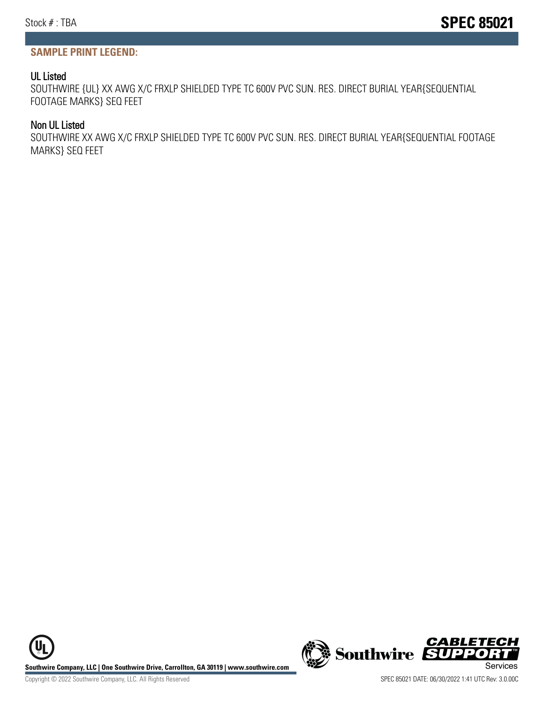### **SAMPLE PRINT LEGEND:**

#### UL Listed

SOUTHWIRE {UL} XX AWG X/C FRXLP SHIELDED TYPE TC 600V PVC SUN. RES. DIRECT BURIAL YEAR{SEQUENTIAL FOOTAGE MARKS} SEQ FEET

#### Non UL Listed

SOUTHWIRE XX AWG X/C FRXLP SHIELDED TYPE TC 600V PVC SUN. RES. DIRECT BURIAL YEAR{SEQUENTIAL FOOTAGE MARKS} SEQ FEET